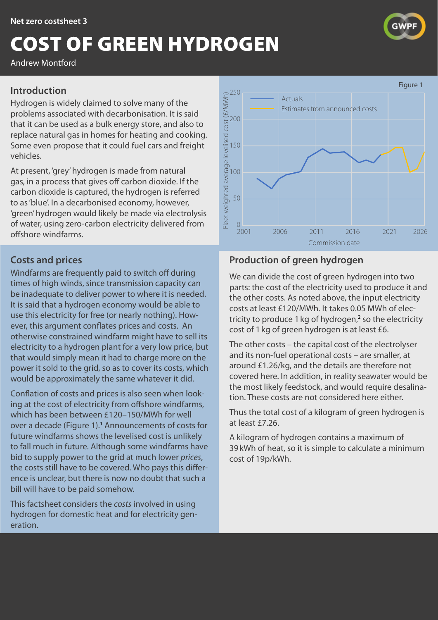# <span id="page-0-0"></span>COST OF GREEN HYDROGEN

Andrew Montford

#### **Introduction**

Hydrogen is widely claimed to solve many of the problems associated with decarbonisation. It is said that it can be used as a bulk energy store, and also to replace natural gas in homes for heating and cooking. Some even propose that it could fuel cars and freight vehicles.

At present, 'grey' hydrogen is made from natural gas, in a process that gives off carbon dioxide. If the carbon dioxide is captured, the hydrogen is referred to as 'blue'. In a decarbonised economy, however, 'green' hydrogen would likely be made via electrolysis of water, using zero-carbon electricity delivered from offshore windfarms.

## **Costs and prices**

Windfarms are frequently paid to switch off during times of high winds, since transmission capacity can be inadequate to deliver power to where it is needed. It is said that a hydrogen economy would be able to use this electricity for free (or nearly nothing). However, this argument conflates prices and costs. An otherwise constrained windfarm might have to sell its electricity to a hydrogen plant for a very low price, but that would simply mean it had to charge more on the power it sold to the grid, so as to cover its costs, which would be approximately the same whatever it did.

Conflation of costs and prices is also seen when looking at the cost of electricity from offshore windfarms, which has been between £120–150/MWh for well over a decade (Figure [1](#page-1-0)).<sup>1</sup> Announcements of costs for future windfarms shows the levelised cost is unlikely to fall much in future. Although some windfarms have bid to supply power to the grid at much lower *prices*, the costs still have to be covered. Who pays this difference is unclear, but there is now no doubt that such a bill will have to be paid somehow.

This factsheet considers the *costs* involved in using hydrogen for domestic heat and for electricity generation.



# **Production of green hydrogen**

Actuals

Estimates from announced costs

100

150

200

250

We can divide the cost of green hydrogen into two parts: the cost of the electricity used to produce it and the other costs. As noted above, the input electricity costs at least £120/MWh. It takes 0.05 MWh of electricity to produce  $1 \text{ kg}$  of hydrogen,<sup>[2](#page-1-0)</sup> so the electricity cost of 1kg of green hydrogen is at least £6.

The other costs – the capital cost of the electrolyser and its non-fuel operational costs – are smaller, at around £1.26/kg, and the details are therefore not covered here. In addition, in reality seawater would be the most likely feedstock, and would require desalination. These costs are not considered here either.

Thus the total cost of a kilogram of green hydrogen is at least £7.26.

A kilogram of hydrogen contains a maximum of 39kWh of heat, so it is simple to calculate a minimum cost of 19p/kWh.



Figure 1